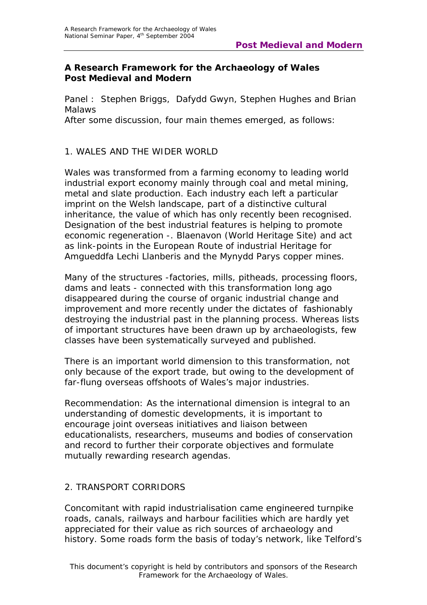#### **A Research Framework for the Archaeology of Wales Post Medieval and Modern**

*Panel* : Stephen Briggs, Dafydd Gwyn, Stephen Hughes and Brian **Malaws** 

After some discussion, four main themes emerged, as follows:

## 1. WALES AND THE WIDER WORLD

Wales was transformed from a farming economy to leading world industrial export economy mainly through coal and metal mining, metal and slate production. Each industry each left a particular imprint on the Welsh landscape, part of a distinctive cultural inheritance, the value of which has only recently been recognised. Designation of the best industrial features is helping to promote economic regeneration -. Blaenavon (World Heritage Site) and act as link-points in the European Route of industrial Heritage for Amgueddfa Lechi Llanberis and the Mynydd Parys copper mines.

Many of the structures -factories, mills, pitheads, processing floors, dams and leats - connected with this transformation long ago disappeared during the course of organic industrial change and improvement and more recently under the dictates of fashionably destroying the industrial past in the planning process. Whereas lists of important structures have been drawn up by archaeologists, few classes have been systematically surveyed and published.

There is an important world dimension to this transformation, not only because of the export trade, but owing to the development of far-flung overseas offshoots of Wales's major industries.

*Recommendation*: As the international dimension is integral to an understanding of domestic developments, it is important to encourage joint overseas initiatives and liaison between educationalists, researchers, museums and bodies of conservation and record to further their corporate objectives and formulate mutually rewarding research agendas.

# 2. TRANSPORT CORRIDORS

Concomitant with rapid industrialisation came engineered turnpike roads, canals, railways and harbour facilities which are hardly yet appreciated for their value as rich sources of archaeology and history. Some roads form the basis of today's network, like Telford's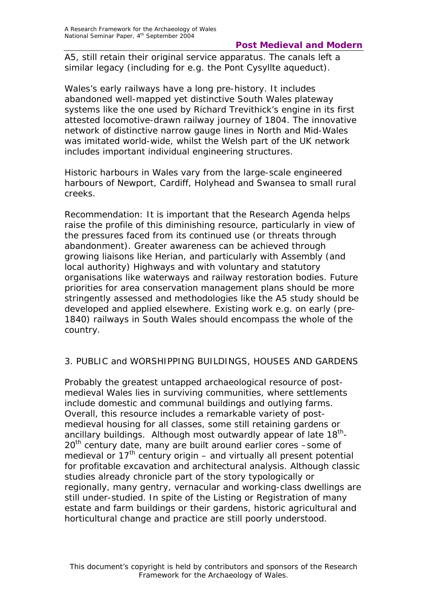### **Post Medieval and Modern**

A5, still retain their original service apparatus. The canals left a similar legacy (including for e.g. the Pont Cysyllte aqueduct).

Wales's early railways have a long pre-history. It includes abandoned well-mapped yet distinctive South Wales plateway systems like the one used by Richard Trevithick's engine in its first attested locomotive-drawn railway journey of 1804. The innovative network of distinctive narrow gauge lines in North and Mid-Wales was imitated world-wide, whilst the Welsh part of the UK network includes important individual engineering structures.

Historic harbours in Wales vary from the large-scale engineered harbours of Newport, Cardiff, Holyhead and Swansea to small rural creeks.

*Recommendation*: It is important that the Research Agenda helps raise the profile of this diminishing resource, particularly in view of the pressures faced from its continued use (or threats through abandonment). Greater awareness can be achieved through growing liaisons like Herian, and particularly with Assembly (and local authority) Highways and with voluntary and statutory organisations like waterways and railway restoration bodies. Future priorities for area conservation management plans should be more stringently assessed and methodologies like the A5 study should be developed and applied elsewhere. Existing work e.g. on early (pre-1840) railways in South Wales should encompass the whole of the country.

### 3. PUBLIC and WORSHIPPING BUILDINGS, HOUSES AND GARDENS

Probably the greatest untapped archaeological resource of postmedieval Wales lies in surviving communities, where settlements include domestic and communal buildings and outlying farms. Overall, this resource includes a remarkable variety of postmedieval housing for all classes, some still retaining gardens or ancillary buildings. Although most outwardly appear of late  $18^{th}$ -20<sup>th</sup> century date, many are built around earlier cores -some of medieval or  $17<sup>th</sup>$  century origin – and virtually all present potential for profitable excavation and architectural analysis. Although classic studies already chronicle part of the story typologically or regionally, many gentry, vernacular and working-class dwellings are still under-studied. In spite of the Listing or Registration of many estate and farm buildings or their gardens, historic agricultural and horticultural change and practice are still poorly understood.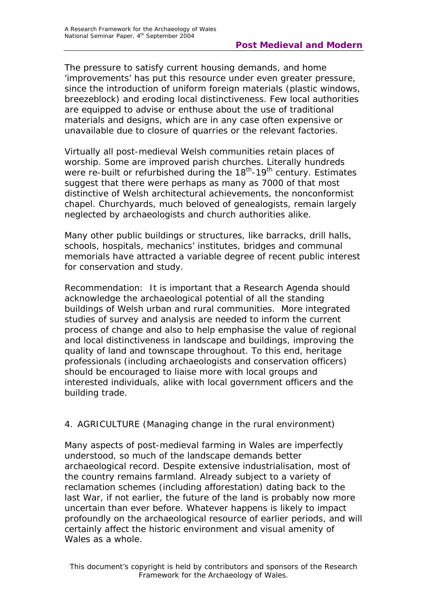The pressure to satisfy current housing demands, and home 'improvements' has put this resource under even greater pressure, since the introduction of uniform foreign materials (plastic windows, breezeblock) and eroding local distinctiveness. Few local authorities are equipped to advise or enthuse about the use of traditional materials and designs, which are in any case often expensive or unavailable due to closure of quarries or the relevant factories.

Virtually all post-medieval Welsh communities retain places of worship. Some are improved parish churches. Literally hundreds were re-built or refurbished during the 18<sup>th</sup>-19<sup>th</sup> century. Estimates suggest that there were perhaps as many as 7000 of that most distinctive of Welsh architectural achievements, the nonconformist chapel. Churchyards, much beloved of genealogists, remain largely neglected by archaeologists and church authorities alike.

Many other public buildings or structures, like barracks, drill halls, schools, hospitals, mechanics' institutes, bridges and communal memorials have attracted a variable degree of recent public interest for conservation and study.

*Recommendation*: It is important that a Research Agenda should acknowledge the archaeological potential of all the standing buildings of Welsh urban and rural communities. More integrated studies of survey and analysis are needed to inform the current process of change and also to help emphasise the value of regional and local distinctiveness in landscape and buildings, improving the quality of land and townscape throughout. To this end, heritage professionals (including archaeologists and conservation officers) should be encouraged to liaise more with local groups and interested individuals, alike with local government officers and the building trade.

### 4. AGRICULTURE (Managing change in the rural environment)

Many aspects of post-medieval farming in Wales are imperfectly understood, so much of the landscape demands better archaeological record. Despite extensive industrialisation, most of the country remains farmland. Already subject to a variety of reclamation schemes (including afforestation) dating back to the last War, if not earlier, the future of the land is probably now more uncertain than ever before. Whatever happens is likely to impact profoundly on the archaeological resource of earlier periods, and will certainly affect the historic environment and visual amenity of Wales as a whole.